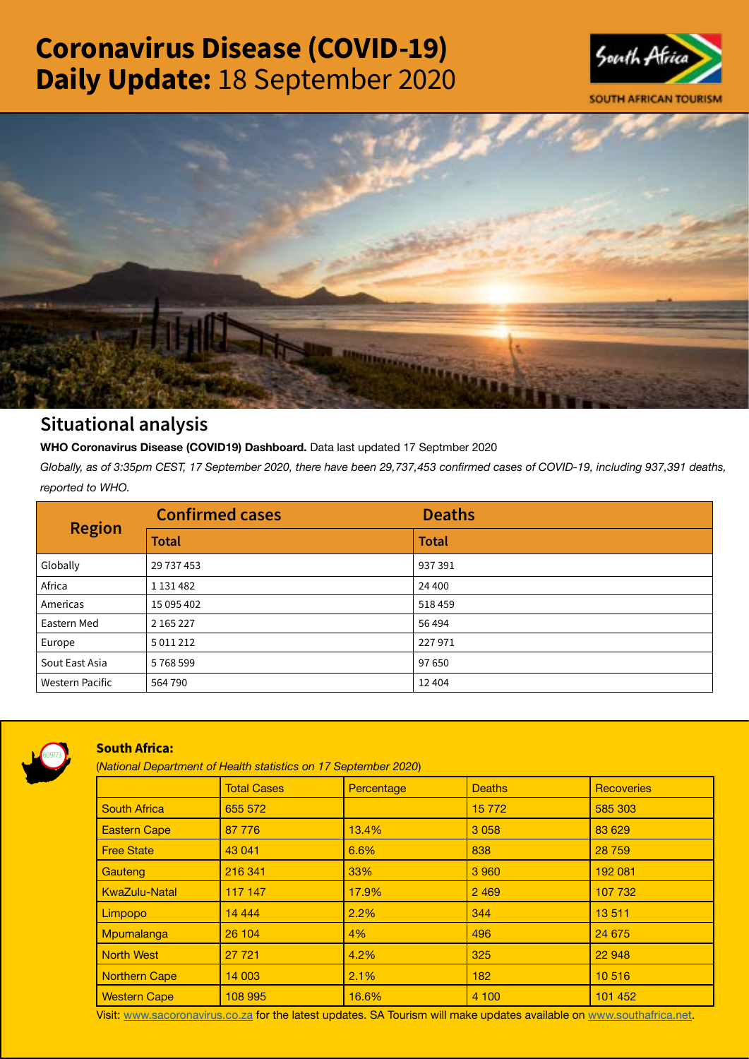# Coronavirus Disease (COVID-19) Daily Update: 18 September 2020





## Situational analysis

**WHO Coronavirus Disease (COVID19) Dashboard.** Data last updated 17 Septmber 2020

*Globally, as of 3:35pm CEST, 17 September 2020, there have been 29,737,453 confirmed cases of COVID-19, including 937,391 deaths, reported to WHO.*

| <b>Region</b>          | <b>Confirmed cases</b> | <b>Deaths</b> |
|------------------------|------------------------|---------------|
|                        | <b>Total</b>           | <b>Total</b>  |
| Globally               | 29 737 453             | 937391        |
| Africa                 | 1 1 3 1 4 8 2          | 24 400        |
| Americas               | 15 095 402             | 518 459       |
| Eastern Med            | 2 165 227              | 56 494        |
| Europe                 | 5 0 1 1 2 1 2          | 227971        |
| Sout East Asia         | 5768599                | 97 650        |
| <b>Western Pacific</b> | 564 790                | 12 4 04       |



### South Africa:

(*National Department of Health statistics on 17 September 2020*)

|                      | <b>Total Cases</b> | Percentage | <b>Deaths</b> | Recoveries |
|----------------------|--------------------|------------|---------------|------------|
| <b>South Africa</b>  | 655 572            |            | 15 7 7 2      | 585 303    |
| <b>Eastern Cape</b>  | 87 776             | 13.4%      | 3 0 5 8       | 83 629     |
| <b>Free State</b>    | 43 041             | 6.6%       | 838           | 28 759     |
| Gauteng              | 216 341            | 33%        | 3 9 6 0       | 192 081    |
| <b>KwaZulu-Natal</b> | 117 147            | 17.9%      | 2 4 6 9       | 107 732    |
| Limpopo              | 14 4 4 4           | 2.2%       | 344           | 13511      |
| Mpumalanga           | 26 104             | 4%         | 496           | 24 675     |
| <b>North West</b>    | 27 7 21            | 4.2%       | 325           | 22 948     |
| <b>Northern Cape</b> | 14 003             | 2.1%       | 182           | 10 516     |
| <b>Western Cape</b>  | 108 995            | 16.6%      | 4 100         | 101 452    |

Visit: [www.sacoronavirus.co.za](http://www.sacoronavirus.co.za) for the latest updates. SA Tourism will make updates available on [www.southafrica.net.](http://www.southafrica.net)